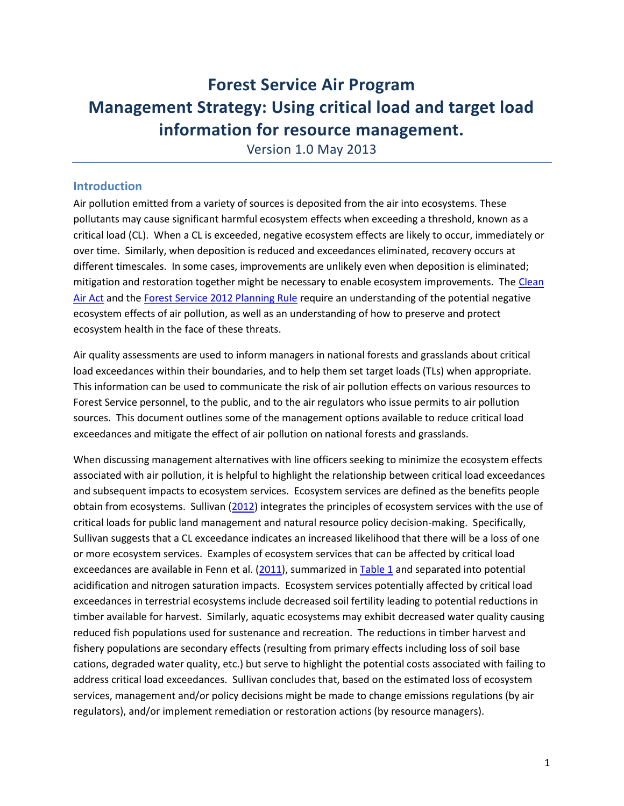# **Forest Service Air Program Management Strategy: Using critical load and target load information for resource management.**

Version 1.0 May 2013

### **Introduction**

Air pollution emitted from a variety of sources is deposited from the air into ecosystems. These pollutants may cause significant harmful ecosystem effects when exceeding a threshold, known as a critical load (CL). When a CL is exceeded, negative ecosystem effects are likely to occur, immediately or over time. Similarly, when deposition is reduced and exceedances eliminated, recovery occurs at different timescales. In some cases, improvements are unlikely even when deposition is eliminated; mitigation and restoration together might be necessary to enable ecosystem improvements. The [Clean](http://www.epa.gov/air/caa/)  [Air Act](http://www.epa.gov/air/caa/) and the [Forest Service 2012 Planning Rule](http://www.fs.usda.gov/planningrule) require an understanding of the potential negative ecosystem effects of air pollution, as well as an understanding of how to preserve and protect ecosystem health in the face of these threats.

Air quality assessments are used to inform managers in national forests and grasslands about critical load exceedances within their boundaries, and to help them set target loads (TLs) when appropriate. This information can be used to communicate the risk of air pollution effects on various resources to Forest Service personnel, to the public, and to the air regulators who issue permits to air pollution sources. This document outlines some of the management options available to reduce critical load exceedances and mitigate the effect of air pollution on national forests and grasslands.

When discussing management alternatives with line officers seeking to minimize the ecosystem effects associated with air pollution, it is helpful to highlight the relationship between critical load exceedances and subsequent impacts to ecosystem services. Ecosystem services are defined as the benefits people obtain from ecosystems. Sullivan [\(2012\)](http://www.mdpi.com/2073-4441/4/4/905) integrates the principles of ecosystem services with the use of critical loads for public land management and natural resource policy decision-making. Specifically, Sullivan suggests that a CL exceedance indicates an increased likelihood that there will be a loss of one or more ecosystem services. Examples of ecosystem services that can be affected by critical load exceedances are available in Fenn et al. [\(2011\)](http://www.esa.org/esa/wp-content/uploads/2013/03/issuesinecology14.pdf), summarized in [Table 1](http://www.srs.fs.fed.us/airqualityportal/assets/ecosystemservices.pdf) and separated into potential acidification and nitrogen saturation impacts. Ecosystem services potentially affected by critical load exceedances in terrestrial ecosystems include decreased soil fertility leading to potential reductions in timber available for harvest. Similarly, aquatic ecosystems may exhibit decreased water quality causing reduced fish populations used for sustenance and recreation. The reductions in timber harvest and fishery populations are secondary effects (resulting from primary effects including loss of soil base cations, degraded water quality, etc.) but serve to highlight the potential costs associated with failing to address critical load exceedances. Sullivan concludes that, based on the estimated loss of ecosystem services, management and/or policy decisions might be made to change emissions regulations (by air regulators), and/or implement remediation or restoration actions (by resource managers).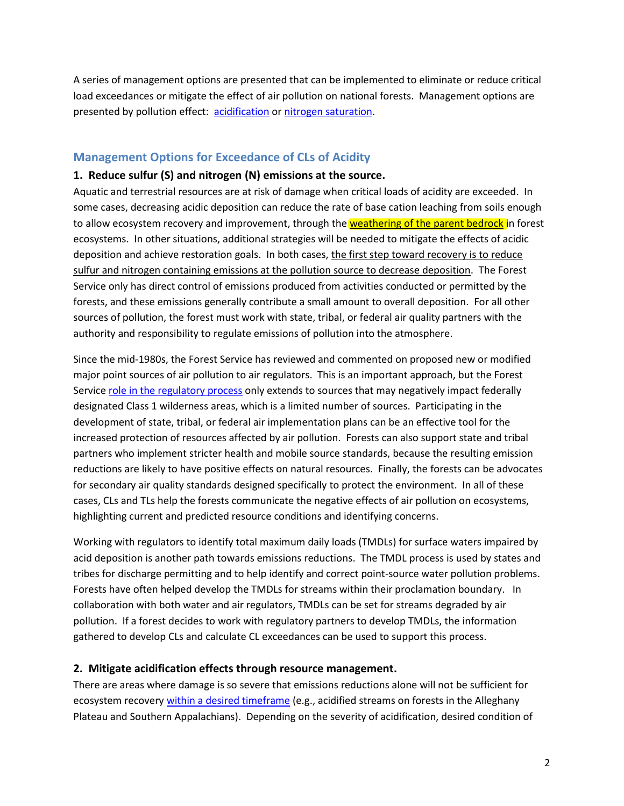A series of management options are presented that can be implemented to eliminate or reduce critical load exceedances or mitigate the effect of air pollution on national forests. Management options are presented by pollution effect: [acidification](#page-1-0) or [nitrogen saturation.](#page-4-0)

### <span id="page-1-0"></span>**Management Options for Exceedance of CLs of Acidity**

#### **1. Reduce sulfur (S) and nitrogen (N) emissions at the source.**

Aquatic and terrestrial resources are at risk of damage when critical loads of acidity are exceeded. In some cases, decreasing acidic deposition can reduce the rate of base cation leaching from soils enough to allow ecosystem recovery and improvement, through the **weathering of the parent bedrock** in forest ecosystems. In other situations, additional strategies will be needed to mitigate the effects of acidic deposition and achieve restoration goals. In both cases, the first step toward recovery is to reduce sulfur and nitrogen containing emissions at the pollution source to decrease deposition. The Forest Service only has direct control of emissions produced from activities conducted or permitted by the forests, and these emissions generally contribute a small amount to overall deposition. For all other sources of pollution, the forest must work with state, tribal, or federal air quality partners with the authority and responsibility to regulate emissions of pollution into the atmosphere.

Since the mid-1980s, the Forest Service has reviewed and commented on proposed new or modified major point sources of air pollution to air regulators. This is an important approach, but the Forest Servic[e role in the regulatory process](http://www.fs.fed.us/air/law_policy.htm) only extends to sources that may negatively impact federally designated Class 1 wilderness areas, which is a limited number of sources. Participating in the development of state, tribal, or federal air implementation plans can be an effective tool for the increased protection of resources affected by air pollution. Forests can also support state and tribal partners who implement stricter health and mobile source standards, because the resulting emission reductions are likely to have positive effects on natural resources. Finally, the forests can be advocates for secondary air quality standards designed specifically to protect the environment. In all of these cases, CLs and TLs help the forests communicate the negative effects of air pollution on ecosystems, highlighting current and predicted resource conditions and identifying concerns.

Working with regulators to identify total maximum daily loads (TMDLs) for surface waters impaired by acid deposition is another path towards emissions reductions. The TMDL process is used by states and tribes for discharge permitting and to help identify and correct point-source water pollution problems. Forests have often helped develop the TMDLs for streams within their proclamation boundary. In collaboration with both water and air regulators, TMDLs can be set for streams degraded by air pollution. If a forest decides to work with regulatory partners to develop TMDLs, the information gathered to develop CLs and calculate CL exceedances can be used to support this process.

### **2. Mitigate acidification effects through resource management.**

There are areas where damage is so severe that emissions reductions alone will not be sufficient for ecosystem recovery [within a desired timeframe](http://www.srs.fs.fed.us/airqualityportal/critical_loads/cls_background.php#dynamicmodelingapproaches) (e.g., acidified streams on forests in the Alleghany Plateau and Southern Appalachians). Depending on the severity of acidification, desired condition of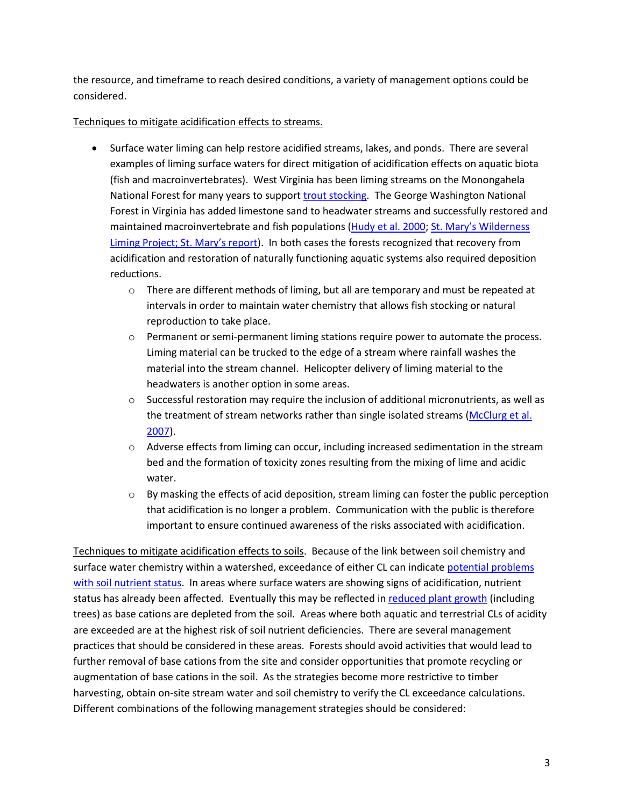the resource, and timeframe to reach desired conditions, a variety of management options could be considered.

### Techniques to mitigate acidification effects to streams.

- Surface water liming can help restore acidified streams, lakes, and ponds. There are several examples of liming surface waters for direct mitigation of acidification effects on aquatic biota (fish and macroinvertebrates). West Virginia has been liming streams on the Monongahela National Forest for many years to support trout [stocking.](http://www.netl.doe.gov/publications/proceedings/00/app-rvr00/2-6.pdf) The George Washington National Forest in Virginia has added limestone sand to headwater streams and successfully restored and maintained macroinvertebrate and fish populations [\(Hudy et al.](http://www.tandfonline.com/doi/abs/10.1577/1548-8675%282000%29020%3C0453%3ASROAAN%3E2.3.CO%3B2#preview) 2000; St. Mary's Wilderness [Liming Project;](http://csm.jmu.edu/st.marys/index.html) [St. Mary's report](http://www.srs.fs.fed.us/airqualityportal/assets/stmarys.pdf)). In both cases the forests recognized that recovery from acidification and restoration of naturally functioning aquatic systems also required deposition reductions.
	- $\circ$  There are different methods of liming, but all are temporary and must be repeated at intervals in order to maintain water chemistry that allows fish stocking or natural reproduction to take place.
	- $\circ$  Permanent or semi-permanent liming stations require power to automate the process. Liming material can be trucked to the edge of a stream where rainfall washes the material into the stream channel. Helicopter delivery of liming material to the headwaters is another option in some areas.
	- $\circ$  Successful restoration may require the inclusion of additional micronutrients, as well as the treatment of stream networks rather than single isolated streams [\(McClurg](http://www.esajournals.org/doi/abs/10.1890/06-0392) et al. [2007\)](http://www.esajournals.org/doi/abs/10.1890/06-0392).
	- o Adverse effects from liming can occur, including increased sedimentation in the stream bed and the formation of toxicity zones resulting from the mixing of lime and acidic water.
	- $\circ$  By masking the effects of acid deposition, stream liming can foster the public perception that acidification is no longer a problem. Communication with the public is therefore important to ensure continued awareness of the risks associated with acidification.

Techniques to mitigate acidification effects to soils. Because of the link between soil chemistry and surface water chemistry within a watershed, exceedance of either CL can indicate [potential problems](http://www.srs.fs.fed.us/airqualityportal/assets/acidepstnbrfpapersouthnapplchns.pdf)  [with soil nutrient status.](http://www.srs.fs.fed.us/airqualityportal/assets/acidepstnbrfpapersouthnapplchns.pdf) In areas where surface waters are showing signs of acidification, nutrient status has already been affected. Eventually this may be reflected in [reduced plant growth](http://www.ingentaconnect.com/content/saf/fs/1979/00000025/00000003/art00006) (including trees) as base cations are depleted from the soil. Areas where both aquatic and terrestrial CLs of acidity are exceeded are at the highest risk of soil nutrient deficiencies. There are several management practices that should be considered in these areas. Forests should avoid activities that would lead to further removal of base cations from the site and consider opportunities that promote recycling or augmentation of base cations in the soil. As the strategies become more restrictive to timber harvesting, obtain on-site stream water and soil chemistry to verify the CL exceedance calculations. Different combinations of the following management strategies should be considered: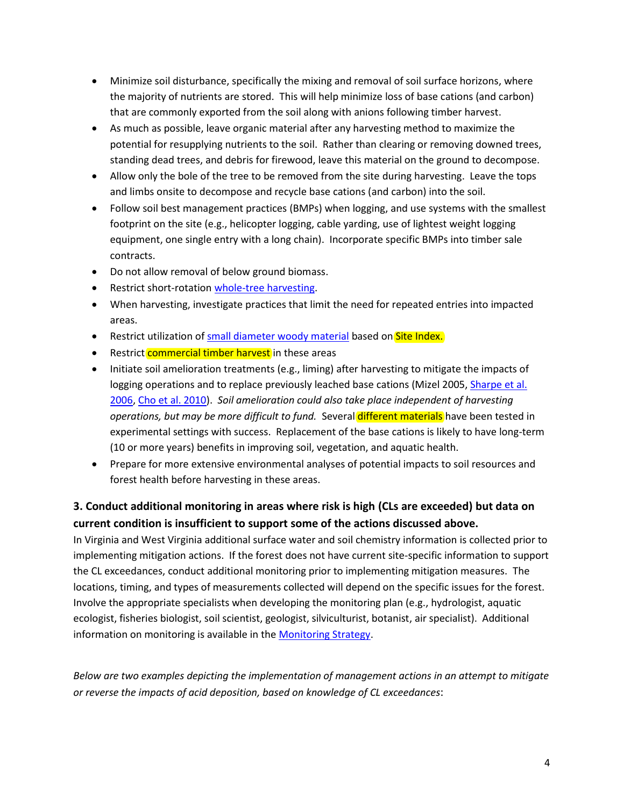- Minimize soil disturbance, specifically the mixing and removal of soil surface horizons, where the majority of nutrients are stored. This will help minimize loss of base cations (and carbon) that are commonly exported from the soil along with anions following timber harvest.
- As much as possible, leave organic material after any harvesting method to maximize the potential for resupplying nutrients to the soil. Rather than clearing or removing downed trees, standing dead trees, and debris for firewood, leave this material on the ground to decompose.
- Allow only the bole of the tree to be removed from the site during harvesting. Leave the tops and limbs onsite to decompose and recycle base cations (and carbon) into the soil.
- Follow soil best management practices (BMPs) when logging, and use systems with the smallest footprint on the site (e.g., helicopter logging, cable yarding, use of lightest weight logging equipment, one single entry with a long chain). Incorporate specific BMPs into timber sale contracts.
- Do not allow removal of below ground biomass.
- **•** Restrict short-rotation [whole-tree harvesting.](http://www.srs.fs.fed.us/airqualityportal/assets/wtharvesting.pdf)
- When harvesting, investigate practices that limit the need for repeated entries into impacted areas.
- Restrict utilization of [small diameter woody material](http://www.srs.fs.fed.us/airqualityportal/assets/woodybiomass.pdf) based on Site Index.
- Restrict **commercial timber harvest** in these areas
- Initiate soil amelioration treatments (e.g., liming) after harvesting to mitigate the impacts of logging operations and to replace previously leached base cations (Mizel 2005, Sharpe et al. [2006,](http://www.psiee.psu.edu/publications/reports/psiee/liming.pdf) [Cho et al. 2010\)](http://link.springer.com/article/10.1007%2Fs10533-009-9397-6#page-1). *Soil amelioration could also take place independent of harvesting operations, but may be more difficult to fund.* Several different materials have been tested in experimental settings with success. Replacement of the base cations is likely to have long-term (10 or more years) benefits in improving soil, vegetation, and aquatic health.
- Prepare for more extensive environmental analyses of potential impacts to soil resources and forest health before harvesting in these areas.

# **3. Conduct additional monitoring in areas where risk is high (CLs are exceeded) but data on current condition is insufficient to support some of the actions discussed above.**

In Virginia and West Virginia additional surface water and soil chemistry information is collected prior to implementing mitigation actions. If the forest does not have current site-specific information to support the CL exceedances, conduct additional monitoring prior to implementing mitigation measures. The locations, timing, and types of measurements collected will depend on the specific issues for the forest. Involve the appropriate specialists when developing the monitoring plan (e.g., hydrologist, aquatic ecologist, fisheries biologist, soil scientist, geologist, silviculturist, botanist, air specialist). Additional information on monitoring is available in th[e Monitoring Strategy.](http://www.srs.fs.fed.us/airqualityportal/critical_loads/monitoring_strategy.phpf)

*Below are two examples depicting the implementation of management actions in an attempt to mitigate or reverse the impacts of acid deposition, based on knowledge of CL exceedances*: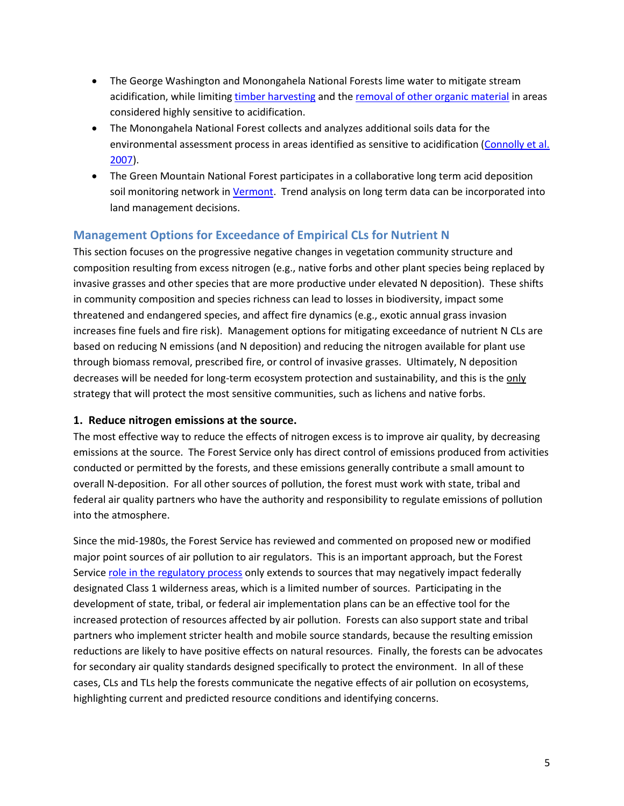- The George Washington and Monongahela National Forests lime water to mitigate stream acidification, while limiting [timber harvesting](http://www.srs.fs.fed.us/airqualityportal/assets/wtharvesting.pdf) and the [removal of other organic material](http://www.srs.fs.fed.us/airqualityportal/assets/woodybiomass.pdf) in areas considered highly sensitive to acidification.
- The Monongahela National Forest collects and analyzes additional soils data for the environmental assessment process in areas identified as sensitive to acidification [\(Connolly et al.](http://stream.fs.fed.us/afsc/pdfs/Connolly.pdf)  [2007\)](http://stream.fs.fed.us/afsc/pdfs/Connolly.pdf).
- The Green Mountain National Forest participates in a collaborative long term acid deposition soil monitoring network i[n Vermont.](http://fhm.fs.fed.us/posters/posters06/air_quality_vt.pdf) Trend analysis on long term data can be incorporated into land management decisions.

# <span id="page-4-0"></span>**Management Options for Exceedance of Empirical CLs for Nutrient N**

This section focuses on the progressive negative changes in vegetation community structure and composition resulting from excess nitrogen (e.g., native forbs and other plant species being replaced by invasive grasses and other species that are more productive under elevated N deposition). These shifts in community composition and species richness can lead to losses in biodiversity, impact some threatened and endangered species, and affect fire dynamics (e.g., exotic annual grass invasion increases fine fuels and fire risk). Management options for mitigating exceedance of nutrient N CLs are based on reducing N emissions (and N deposition) and reducing the nitrogen available for plant use through biomass removal, prescribed fire, or control of invasive grasses. Ultimately, N deposition decreases will be needed for long-term ecosystem protection and sustainability, and this is the only strategy that will protect the most sensitive communities, such as lichens and native forbs.

### **1. Reduce nitrogen emissions at the source.**

The most effective way to reduce the effects of nitrogen excess is to improve air quality, by decreasing emissions at the source. The Forest Service only has direct control of emissions produced from activities conducted or permitted by the forests, and these emissions generally contribute a small amount to overall N-deposition. For all other sources of pollution, the forest must work with state, tribal and federal air quality partners who have the authority and responsibility to regulate emissions of pollution into the atmosphere.

Since the mid-1980s, the Forest Service has reviewed and commented on proposed new or modified major point sources of air pollution to air regulators. This is an important approach, but the Forest Servic[e role in the regulatory process](http://www.fs.fed.us/air/law_policy.htm) only extends to sources that may negatively impact federally designated Class 1 wilderness areas, which is a limited number of sources. Participating in the development of state, tribal, or federal air implementation plans can be an effective tool for the increased protection of resources affected by air pollution. Forests can also support state and tribal partners who implement stricter health and mobile source standards, because the resulting emission reductions are likely to have positive effects on natural resources. Finally, the forests can be advocates for secondary air quality standards designed specifically to protect the environment. In all of these cases, CLs and TLs help the forests communicate the negative effects of air pollution on ecosystems, highlighting current and predicted resource conditions and identifying concerns.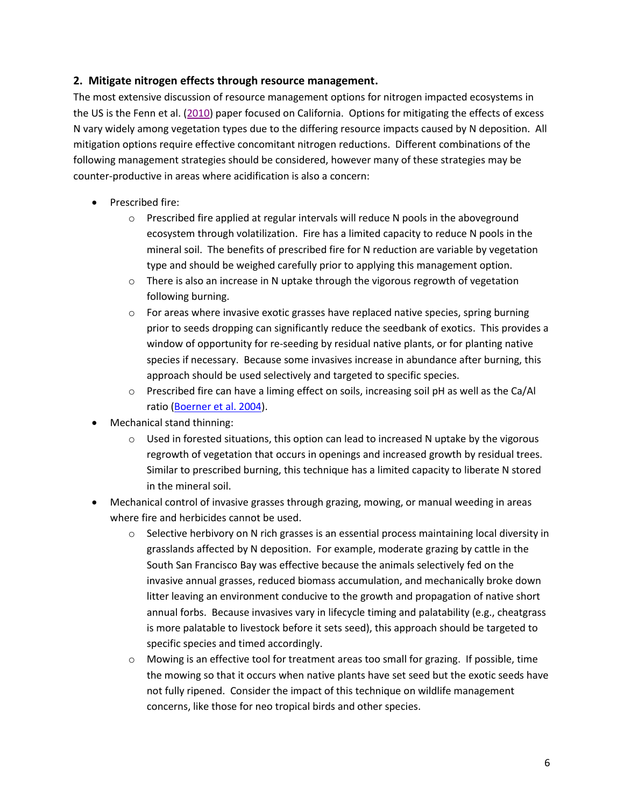### **2. Mitigate nitrogen effects through resource management.**

The most extensive discussion of resource management options for nitrogen impacted ecosystems in the US is the Fenn et al. [\(2010\)](http://www.fs.fed.us/psw/publications/fenn/psw_2010_fenn002.pdf) paper focused on California. Options for mitigating the effects of excess N vary widely among vegetation types due to the differing resource impacts caused by N deposition. All mitigation options require effective concomitant nitrogen reductions. Different combinations of the following management strategies should be considered, however many of these strategies may be counter-productive in areas where acidification is also a concern:

- Prescribed fire:
	- $\circ$  Prescribed fire applied at regular intervals will reduce N pools in the aboveground ecosystem through volatilization. Fire has a limited capacity to reduce N pools in the mineral soil. The benefits of prescribed fire for N reduction are variable by vegetation type and should be weighed carefully prior to applying this management option.
	- $\circ$  There is also an increase in N uptake through the vigorous regrowth of vegetation following burning.
	- $\circ$  For areas where invasive exotic grasses have replaced native species, spring burning prior to seeds dropping can significantly reduce the seedbank of exotics. This provides a window of opportunity for re-seeding by residual native plants, or for planting native species if necessary. Because some invasives increase in abundance after burning, this approach should be used selectively and targeted to specific species.
	- o Prescribed fire can have a liming effect on soils, increasing soil pH as well as the Ca/Al ratio [\(Boerner et al. 2004\)](http://www.nrcresearchpress.com/doi/pdf/10.1139/x03-221).
- Mechanical stand thinning:
	- $\circ$  Used in forested situations, this option can lead to increased N uptake by the vigorous regrowth of vegetation that occurs in openings and increased growth by residual trees. Similar to prescribed burning, this technique has a limited capacity to liberate N stored in the mineral soil.
- Mechanical control of invasive grasses through grazing, mowing, or manual weeding in areas where fire and herbicides cannot be used.
	- $\circ$  Selective herbivory on N rich grasses is an essential process maintaining local diversity in grasslands affected by N deposition. For example, moderate grazing by cattle in the South San Francisco Bay was effective because the animals selectively fed on the invasive annual grasses, reduced biomass accumulation, and mechanically broke down litter leaving an environment conducive to the growth and propagation of native short annual forbs. Because invasives vary in lifecycle timing and palatability (e.g., cheatgrass is more palatable to livestock before it sets seed), this approach should be targeted to specific species and timed accordingly.
	- o Mowing is an effective tool for treatment areas too small for grazing. If possible, time the mowing so that it occurs when native plants have set seed but the exotic seeds have not fully ripened. Consider the impact of this technique on wildlife management concerns, like those for neo tropical birds and other species.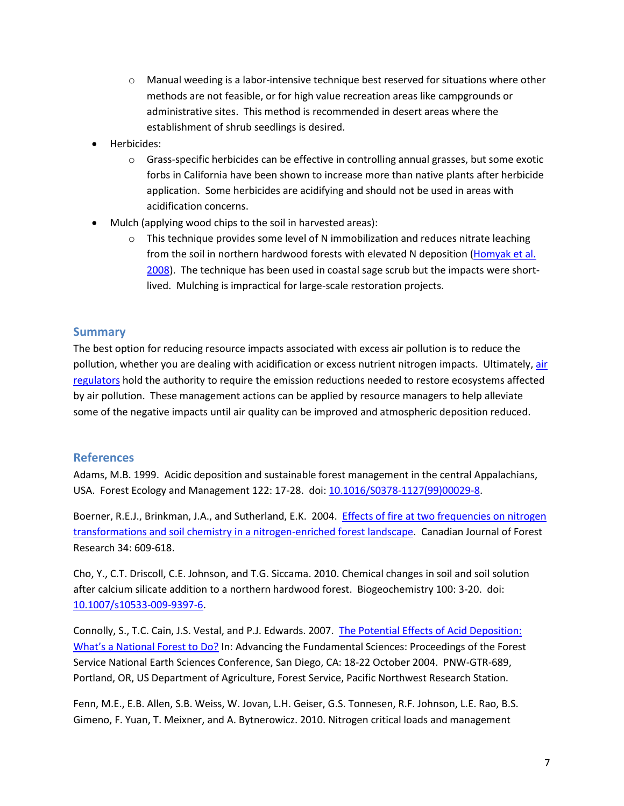- $\circ$  Manual weeding is a labor-intensive technique best reserved for situations where other methods are not feasible, or for high value recreation areas like campgrounds or administrative sites. This method is recommended in desert areas where the establishment of shrub seedlings is desired.
- Herbicides:
	- $\circ$  Grass-specific herbicides can be effective in controlling annual grasses, but some exotic forbs in California have been shown to increase more than native plants after herbicide application. Some herbicides are acidifying and should not be used in areas with acidification concerns.
- Mulch (applying wood chips to the soil in harvested areas):
	- $\circ$  This technique provides some level of N immobilization and reduces nitrate leaching from the soil in northern hardwood forests with elevated N deposition [\(Homyak et al.](http://www.sciencedirect.com/science/article/pii/S0378112708000698)  [2008\)](http://www.sciencedirect.com/science/article/pii/S0378112708000698). The technique has been used in coastal sage scrub but the impacts were shortlived. Mulching is impractical for large-scale restoration projects.

### **Summary**

The best option for reducing resource impacts associated with excess air pollution is to reduce the pollution, whether you are dealing with acidification or excess nutrient nitrogen impacts. Ultimately, air [regulators](http://www.srs.fs.fed.us/airqualityportal/critical_loads/glossary.php) hold the authority to require the emission reductions needed to restore ecosystems affected by air pollution. These management actions can be applied by resource managers to help alleviate some of the negative impacts until air quality can be improved and atmospheric deposition reduced.

## **References**

Adams, M.B. 1999. Acidic deposition and sustainable forest management in the central Appalachians, USA. Forest Ecology and Management 122: 17-28. doi[: 10.1016/S0378-1127\(99\)00029-8.](http://www.as.wvu.edu/fernow/Assests/Fernow%20Papers/Adams%201999.pdf)

Boerner, R.E.J., Brinkman, J.A., and Sutherland, E.K. 2004. Effects of fire at two frequencies on nitrogen [transformations and soil chemistry in a nitrogen-enriched forest landscape.](http://www.nrs.fs.fed.us/pubs/jrnl/2004/ne_2004_boerner_001.pdf) Canadian Journal of Forest Research 34: 609-618.

Cho, Y., C.T. Driscoll, C.E. Johnson, and T.G. Siccama. 2010. Chemical changes in soil and soil solution after calcium silicate addition to a northern hardwood forest. Biogeochemistry 100: 3-20. doi: [10.1007/s10533-009-9397-6.](http://link.springer.com/article/10.1007%2Fs10533-009-9397-6#page-1)

Connolly, S., T.C. Cain, J.S. Vestal, and P.J. Edwards. 2007. [The Potential Effects of Acid Deposition:](http://stream.fs.fed.us/afsc/pdfs/Connolly.pdf)  [What's a National Forest to Do?](http://stream.fs.fed.us/afsc/pdfs/Connolly.pdf) In: Advancing the Fundamental Sciences: Proceedings of the Forest Service National Earth Sciences Conference, San Diego, CA: 18-22 October 2004. PNW-GTR-689, Portland, OR, US Department of Agriculture, Forest Service, Pacific Northwest Research Station.

Fenn, M.E., E.B. Allen, S.B. Weiss, W. Jovan, L.H. Geiser, G.S. Tonnesen, R.F. Johnson, L.E. Rao, B.S. Gimeno, F. Yuan, T. Meixner, and A. Bytnerowicz. 2010. Nitrogen critical loads and management